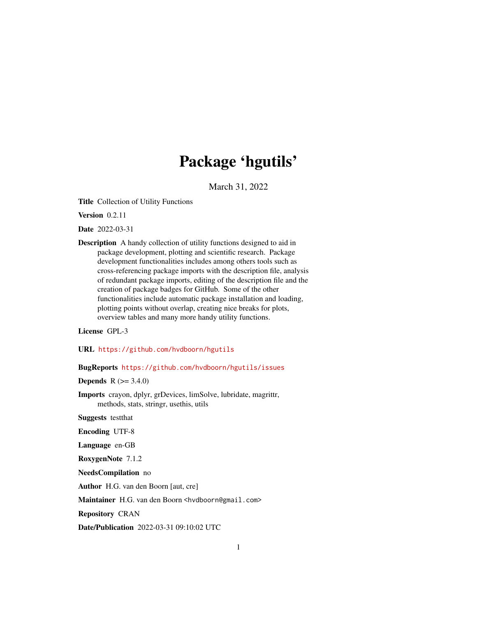# Package 'hgutils'

March 31, 2022

<span id="page-0-0"></span>Title Collection of Utility Functions

Version 0.2.11

Date 2022-03-31

Description A handy collection of utility functions designed to aid in package development, plotting and scientific research. Package development functionalities includes among others tools such as cross-referencing package imports with the description file, analysis of redundant package imports, editing of the description file and the creation of package badges for GitHub. Some of the other functionalities include automatic package installation and loading, plotting points without overlap, creating nice breaks for plots, overview tables and many more handy utility functions.

License GPL-3

URL <https://github.com/hvdboorn/hgutils>

BugReports <https://github.com/hvdboorn/hgutils/issues>

**Depends** R  $(>= 3.4.0)$ 

Imports crayon, dplyr, grDevices, limSolve, lubridate, magrittr, methods, stats, stringr, usethis, utils

Suggests testthat

Encoding UTF-8

Language en-GB

RoxygenNote 7.1.2

NeedsCompilation no

Author H.G. van den Boorn [aut, cre]

Maintainer H.G. van den Boorn <hvdboorn@gmail.com>

Repository CRAN

Date/Publication 2022-03-31 09:10:02 UTC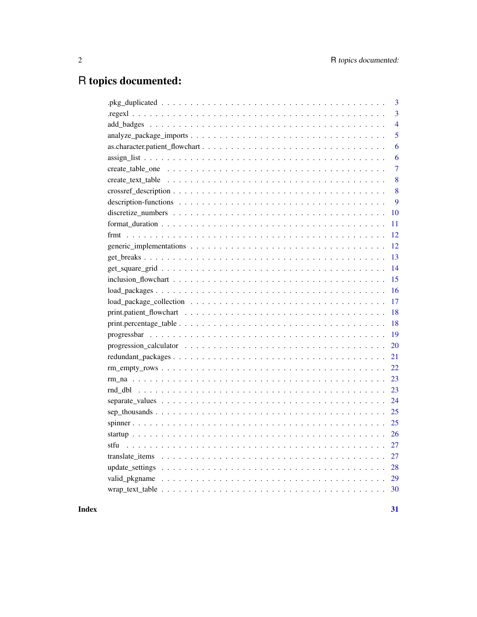## R topics documented:

| 3              |
|----------------|
| 3              |
| $\overline{4}$ |
| 5              |
| 6              |
| 6              |
| $\overline{7}$ |
| 8              |
| 8              |
| 9              |
| 10             |
| 11             |
| 12             |
| 12             |
| 13             |
| 14             |
| 15             |
| 16             |
| 17             |
| 18             |
| 18             |
| 19             |
| 20             |
| 21             |
| 22             |
| 23             |
| 23             |
| 24             |
| 25             |
| 25             |
| 26             |
| 27             |
| 27             |
| 28             |
| 29             |
| 30             |
|                |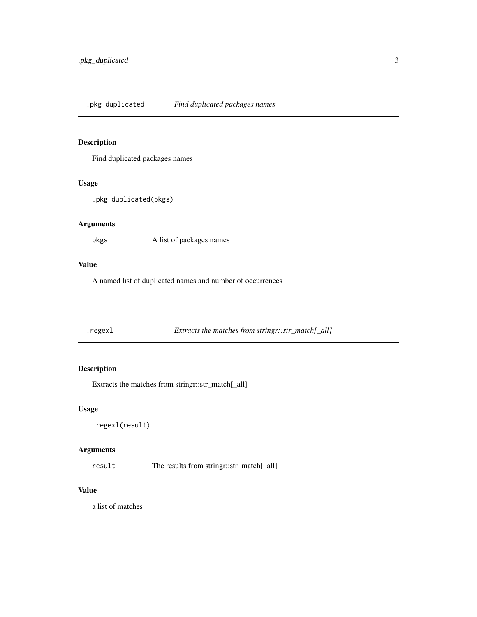<span id="page-2-0"></span>Find duplicated packages names

#### Usage

```
.pkg_duplicated(pkgs)
```
#### Arguments

pkgs A list of packages names

## Value

A named list of duplicated names and number of occurrences

.regexl *Extracts the matches from stringr::str\_match[\_all]*

## Description

Extracts the matches from stringr::str\_match[\_all]

## Usage

```
.regexl(result)
```
## Arguments

result The results from stringr::str\_match[\_all]

## Value

a list of matches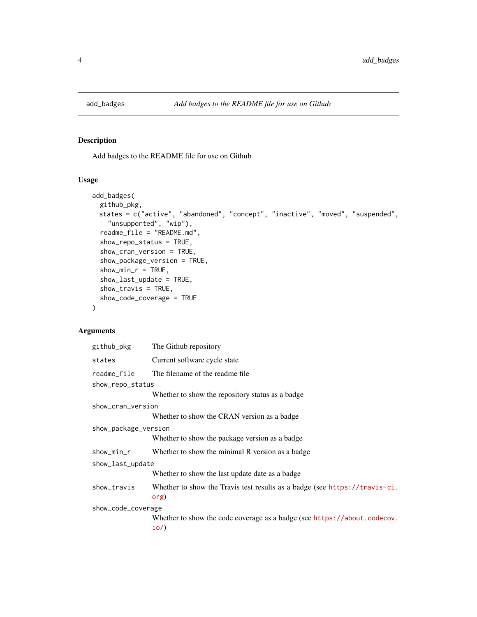<span id="page-3-0"></span>

Add badges to the README file for use on Github

## Usage

```
add_badges(
  github_pkg,
 states = c("active", "abandoned", "concept", "inactive", "moved", "suspended",
    "unsupported", "wip"),
  readme_file = "README.md",
  show_repo_status = TRUE,
  show_cran_version = TRUE,
  show_package_version = TRUE,
  shown\_min_r = TRUE,show_last_update = TRUE,
  show_travis = TRUE,
  show_code_coverage = TRUE
\mathcal{L}
```
## Arguments

| github_pkg           | The Github repository                                                              |  |
|----------------------|------------------------------------------------------------------------------------|--|
| states               | Current software cycle state                                                       |  |
| readme_file          | The filename of the readme file.                                                   |  |
| show_repo_status     |                                                                                    |  |
|                      | Whether to show the repository status as a badge                                   |  |
| show_cran_version    |                                                                                    |  |
|                      | Whether to show the CRAN version as a badge                                        |  |
| show_package_version |                                                                                    |  |
|                      | Whether to show the package version as a badge                                     |  |
| show_min_r           | Whether to show the minimal R version as a badge                                   |  |
| show_last_update     |                                                                                    |  |
|                      | Whether to show the last update date as a badge                                    |  |
| show_travis          | Whether to show the Travis test results as a badge (see https://travis-ci.<br>org) |  |
| show_code_coverage   |                                                                                    |  |
|                      | Whether to show the code coverage as a badge (see https://about.codecov.<br>io/    |  |
|                      |                                                                                    |  |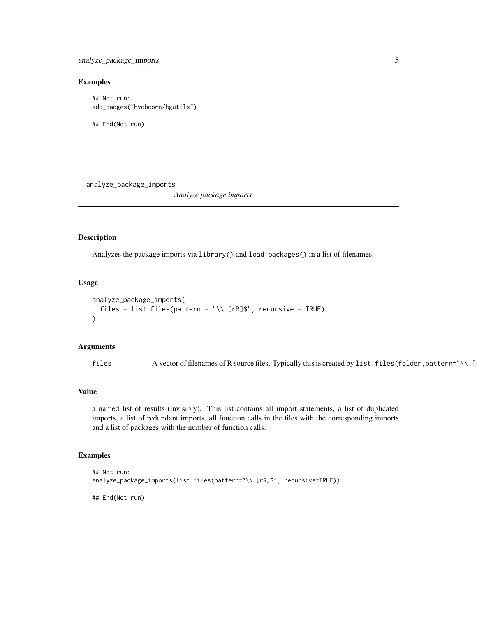## <span id="page-4-0"></span>Examples

```
## Not run:
add_badges("hvdboorn/hgutils")
```
## End(Not run)

analyze\_package\_imports *Analyze package imports*

#### Description

Analyzes the package imports via library() and load\_packages() in a list of filenames.

## Usage

```
analyze_package_imports(
  files = list.files(pattern = "\\.[rR]$", recursive = TRUE)
)
```
## Arguments

files A vector of filenames of R source files. Typically this is created by list.files(folder, pattern="\\.[

#### Value

a named list of results (invisibly). This list contains all import statements, a list of duplicated imports, a list of redundant imports, all function calls in the files with the corresponding imports and a list of packages with the number of function calls.

#### Examples

```
## Not run:
analyze_package_imports(list.files(pattern="\\.[rR]$", recursive=TRUE))
```
## End(Not run)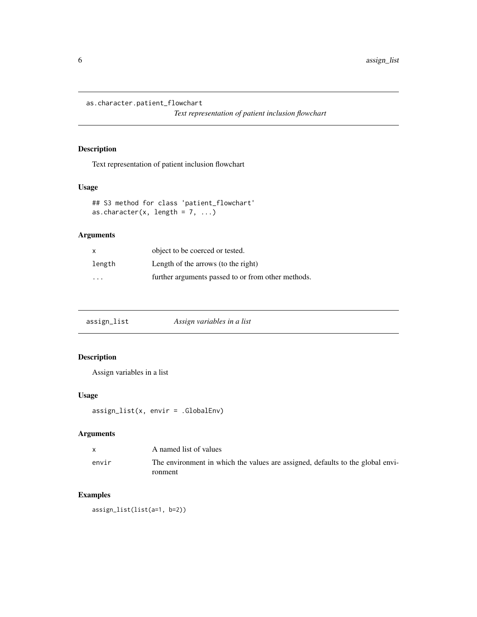<span id="page-5-0"></span>as.character.patient\_flowchart

*Text representation of patient inclusion flowchart*

## Description

Text representation of patient inclusion flowchart

## Usage

```
## S3 method for class 'patient_flowchart'
as.character(x, length = 7, ...)
```
## Arguments

| $\mathsf{x}$ | object to be coerced or tested.                    |
|--------------|----------------------------------------------------|
| length       | Length of the arrows (to the right)                |
| .            | further arguments passed to or from other methods. |

| assign_list | Assign variables in a list |  |
|-------------|----------------------------|--|
|-------------|----------------------------|--|

## Description

Assign variables in a list

## Usage

assign\_list(x, envir = .GlobalEnv)

## Arguments

| $\mathbf{x}$ | A named list of values                                                         |
|--------------|--------------------------------------------------------------------------------|
| envir        | The environment in which the values are assigned, defaults to the global envi- |
|              | ronment                                                                        |

## Examples

assign\_list(list(a=1, b=2))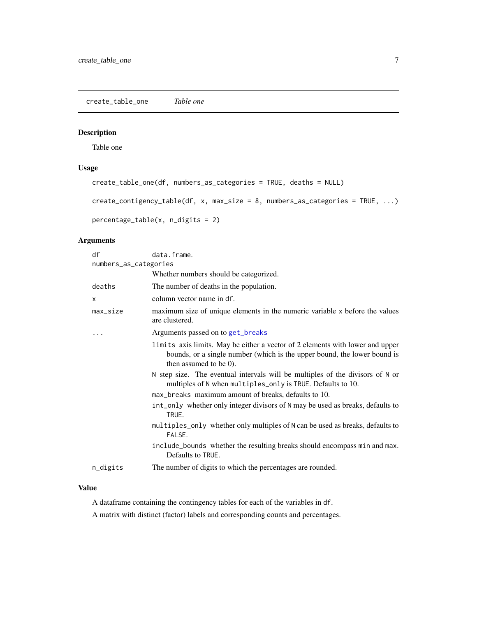<span id="page-6-0"></span>create\_table\_one *Table one*

## Description

Table one

## Usage

```
create_table_one(df, numbers_as_categories = TRUE, deaths = NULL)
create_contigency_table(df, x, max_size = 8, numbers_as_categories = TRUE, ...)
percentage_table(x, n_digits = 2)
```
#### Arguments

| df                    | data.frame.                                                                                                                                                                         |  |
|-----------------------|-------------------------------------------------------------------------------------------------------------------------------------------------------------------------------------|--|
| numbers_as_categories |                                                                                                                                                                                     |  |
|                       | Whether numbers should be categorized.                                                                                                                                              |  |
| deaths                | The number of deaths in the population.                                                                                                                                             |  |
| X                     | column vector name in df.                                                                                                                                                           |  |
| max_size              | maximum size of unique elements in the numeric variable x before the values<br>are clustered.                                                                                       |  |
|                       | Arguments passed on to get_breaks                                                                                                                                                   |  |
|                       | limits axis limits. May be either a vector of 2 elements with lower and upper<br>bounds, or a single number (which is the upper bound, the lower bound is<br>then assumed to be 0). |  |
|                       | N step size. The eventual intervals will be multiples of the divisors of N or<br>multiples of N when multiples_only is TRUE. Defaults to 10.                                        |  |
|                       | max_breaks maximum amount of breaks, defaults to 10.                                                                                                                                |  |
|                       | int_only whether only integer divisors of N may be used as breaks, defaults to<br>TRUE.                                                                                             |  |
|                       | multiples_only whether only multiples of N can be used as breaks, defaults to<br>FALSE.                                                                                             |  |
|                       | include_bounds whether the resulting breaks should encompass min and max.<br>Defaults to TRUE.                                                                                      |  |
| n_digits              | The number of digits to which the percentages are rounded.                                                                                                                          |  |

## Value

A dataframe containing the contingency tables for each of the variables in df.

A matrix with distinct (factor) labels and corresponding counts and percentages.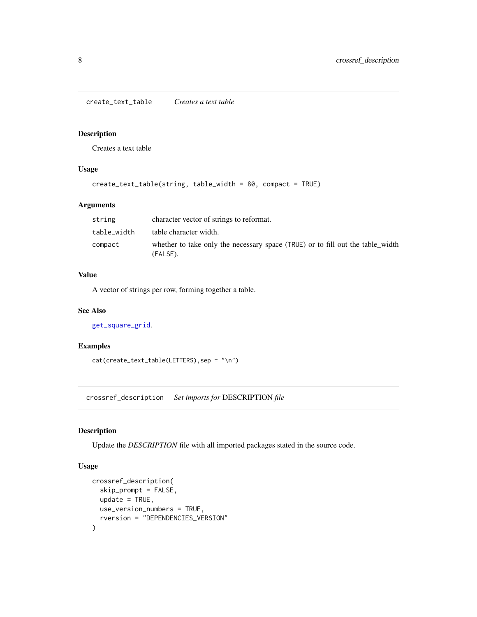<span id="page-7-0"></span>create\_text\_table *Creates a text table*

#### Description

Creates a text table

## Usage

```
create_text_table(string, table_width = 80, compact = TRUE)
```
## Arguments

| string      | character vector of strings to reformat.                                                   |
|-------------|--------------------------------------------------------------------------------------------|
| table width | table character width.                                                                     |
| compact     | whether to take only the necessary space (TRUE) or to fill out the table width<br>(FALSE). |

## Value

A vector of strings per row, forming together a table.

#### See Also

```
get_square_grid.
```
## Examples

cat(create\_text\_table(LETTERS),sep = "\n")

<span id="page-7-1"></span>crossref\_description *Set imports for* DESCRIPTION *file*

## Description

Update the *DESCRIPTION* file with all imported packages stated in the source code.

## Usage

```
crossref_description(
  skip_prompt = FALSE,
 update = TRUE,use_version_numbers = TRUE,
  rversion = "DEPENDENCIES_VERSION"
\mathcal{L}
```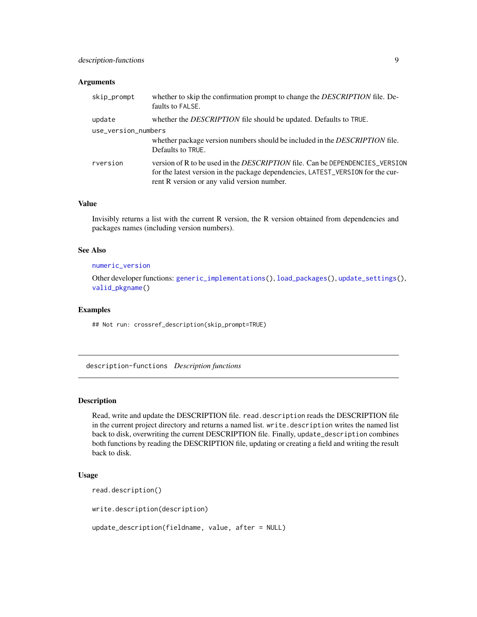#### <span id="page-8-0"></span>Arguments

| skip_prompt         | whether to skip the confirmation prompt to change the DESCRIPTION file. De-<br>faults to FALSE.                                                                                                                       |  |
|---------------------|-----------------------------------------------------------------------------------------------------------------------------------------------------------------------------------------------------------------------|--|
| update              | whether the DESCRIPTION file should be updated. Defaults to TRUE.                                                                                                                                                     |  |
| use_version_numbers |                                                                                                                                                                                                                       |  |
|                     | whether package version numbers should be included in the DESCRIPTION file.<br>Defaults to TRUE.                                                                                                                      |  |
| rversion            | version of R to be used in the <i>DESCRIPTION</i> file. Can be DEPENDENCIES_VERSION<br>for the latest version in the package dependencies, LATEST_VERSION for the cur-<br>rent R version or any valid version number. |  |

#### Value

Invisibly returns a list with the current R version, the R version obtained from dependencies and packages names (including version numbers).

#### See Also

#### [numeric\\_version](#page-0-0)

Other developer functions: [generic\\_implementations\(](#page-11-1)), [load\\_packages\(](#page-15-1)), [update\\_settings\(](#page-27-1)), [valid\\_pkgname\(](#page-28-1))

#### Examples

## Not run: crossref\_description(skip\_prompt=TRUE)

description-functions *Description functions*

#### Description

Read, write and update the DESCRIPTION file. read.description reads the DESCRIPTION file in the current project directory and returns a named list. write.description writes the named list back to disk, overwriting the current DESCRIPTION file. Finally, update\_description combines both functions by reading the DESCRIPTION file, updating or creating a field and writing the result back to disk.

## Usage

```
read.description()
```
write.description(description)

update\_description(fieldname, value, after = NULL)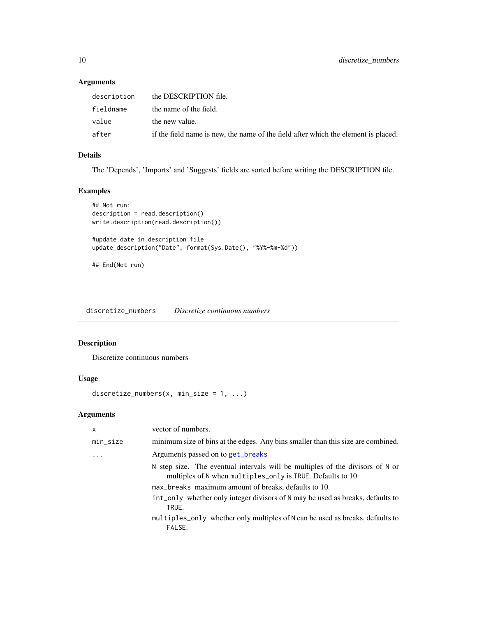## <span id="page-9-0"></span>Arguments

| description | the DESCRIPTION file.                                                              |
|-------------|------------------------------------------------------------------------------------|
| fieldname   | the name of the field.                                                             |
| value       | the new value.                                                                     |
| after       | if the field name is new, the name of the field after which the element is placed. |

## Details

The 'Depends', 'Imports' and 'Suggests' fields are sorted before writing the DESCRIPTION file.

## Examples

```
## Not run:
description = read.description()
write.description(read.description())
#update date in description file
update_description("Date", format(Sys.Date(), "%Y%-%m-%d"))
## End(Not run)
```
discretize\_numbers *Discretize continuous numbers*

## Description

Discretize continuous numbers

## Usage

```
discretize_numbers(x, min_size = 1, ...)
```
## Arguments

| x        | vector of numbers.                                                                                                                           |
|----------|----------------------------------------------------------------------------------------------------------------------------------------------|
| min_size | minimum size of bins at the edges. Any bins smaller than this size are combined.                                                             |
| .        | Arguments passed on to get_breaks                                                                                                            |
|          | N step size. The eventual intervals will be multiples of the divisors of N or<br>multiples of N when multiples_only is TRUE. Defaults to 10. |
|          | max_breaks maximum amount of breaks, defaults to 10.                                                                                         |
|          | int_only whether only integer divisors of N may be used as breaks, defaults to<br>TRUE.                                                      |
|          | multiples_only whether only multiples of N can be used as breaks, defaults to<br>FALSE.                                                      |
|          |                                                                                                                                              |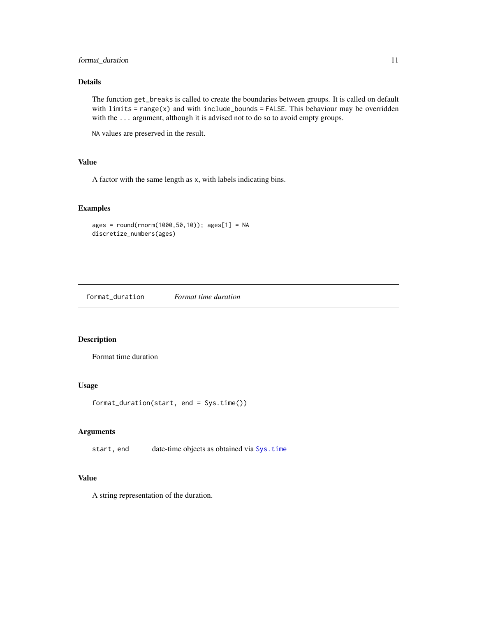## <span id="page-10-0"></span>format\_duration 11

## Details

The function get\_breaks is called to create the boundaries between groups. It is called on default with  $limits = range(x)$  and with  $include_{bounds} = FALSE$ . This behaviour may be overridden with the ... argument, although it is advised not to do so to avoid empty groups.

NA values are preserved in the result.

## Value

A factor with the same length as x, with labels indicating bins.

#### Examples

```
ages = round(rnorm(1000,50,10)); ages[1] = NA
discretize_numbers(ages)
```
format\_duration *Format time duration*

#### Description

Format time duration

## Usage

format\_duration(start, end = Sys.time())

#### Arguments

start, end date-time objects as obtained via [Sys.time](#page-0-0)

## Value

A string representation of the duration.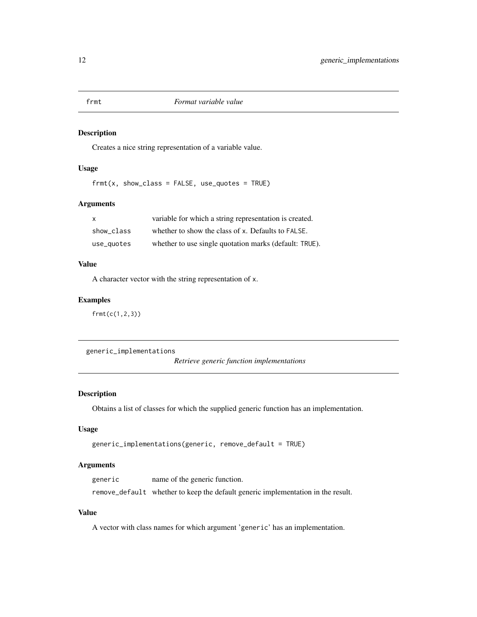<span id="page-11-0"></span>

Creates a nice string representation of a variable value.

#### Usage

 $frmt(x, show\_class = FALSE, use\_ quotes = TRUE)$ 

## Arguments

| $\mathsf{x}$ | variable for which a string representation is created. |
|--------------|--------------------------------------------------------|
| show class   | whether to show the class of x. Defaults to FALSE.     |
| use_quotes   | whether to use single quotation marks (default: TRUE). |

#### Value

A character vector with the string representation of x.

#### Examples

frmt(c(1,2,3))

```
generic_implementations
```
*Retrieve generic function implementations*

## Description

Obtains a list of classes for which the supplied generic function has an implementation.

## Usage

```
generic_implementations(generic, remove_default = TRUE)
```
#### Arguments

generic name of the generic function.

remove\_default whether to keep the default generic implementation in the result.

#### Value

A vector with class names for which argument 'generic' has an implementation.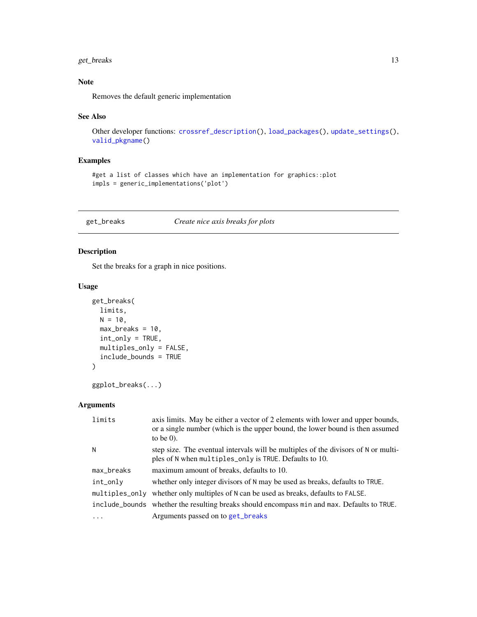## <span id="page-12-0"></span>get\_breaks 13

## Note

Removes the default generic implementation

#### See Also

```
Other developer functions: crossref_description(), load_packages(), update_settings(),
valid_pkgname()
```
## Examples

```
#get a list of classes which have an implementation for graphics::plot
impls = generic_implementations('plot')
```
<span id="page-12-1"></span>get\_breaks *Create nice axis breaks for plots*

## Description

Set the breaks for a graph in nice positions.

#### Usage

```
get_breaks(
 limits,
 N = 10,
 max_breaks = 10,
  int_only = TRUE,
 multiples_only = FALSE,
  include_bounds = TRUE
)
```

```
ggplot_breaks(...)
```
## Arguments

| limits     | axis limits. May be either a vector of 2 elements with lower and upper bounds,<br>or a single number (which is the upper bound, the lower bound is then assumed<br>to be $(0)$ . |
|------------|----------------------------------------------------------------------------------------------------------------------------------------------------------------------------------|
| N          | step size. The eventual intervals will be multiples of the divisors of N or multi-<br>ples of N when multiples_only is TRUE. Defaults to 10.                                     |
| max_breaks | maximum amount of breaks, defaults to 10.                                                                                                                                        |
| int_only   | whether only integer divisors of N may be used as breaks, defaults to TRUE.                                                                                                      |
|            | multiples_only whether only multiples of N can be used as breaks, defaults to FALSE.                                                                                             |
|            | include_bounds whether the resulting breaks should encompass min and max. Defaults to TRUE.                                                                                      |
| .          | Arguments passed on to get_breaks                                                                                                                                                |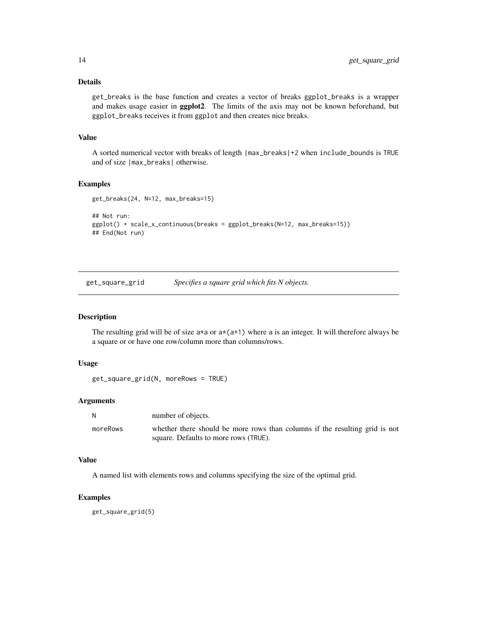#### <span id="page-13-0"></span>Details

get\_breaks is the base function and creates a vector of breaks ggplot\_breaks is a wrapper and makes usage easier in ggplot2. The limits of the axis may not be known beforehand, but ggplot\_breaks receives it from ggplot and then creates nice breaks.

#### Value

A sorted numerical vector with breaks of length |max\_breaks|+2 when include\_bounds is TRUE and of size |max\_breaks| otherwise.

## Examples

```
get_breaks(24, N=12, max_breaks=15)
```

```
## Not run:
ggplot() + scale_x_continuous(breaks = ggplot_breaks(N=12, max_breaks=15))
## End(Not run)
```
<span id="page-13-1"></span>get\_square\_grid *Specifies a square grid which fits N objects.*

## Description

The resulting grid will be of size  $a*a$  or  $a*(a+1)$  where a is an integer. It will therefore always be a square or or have one row/column more than columns/rows.

#### Usage

```
get_square_grid(N, moreRows = TRUE)
```
#### Arguments

| N        | number of objects.                                                          |
|----------|-----------------------------------------------------------------------------|
| moreRows | whether there should be more rows than columns if the resulting grid is not |
|          | square. Defaults to more rows (TRUE).                                       |

#### Value

A named list with elements rows and columns specifying the size of the optimal grid.

## Examples

get\_square\_grid(5)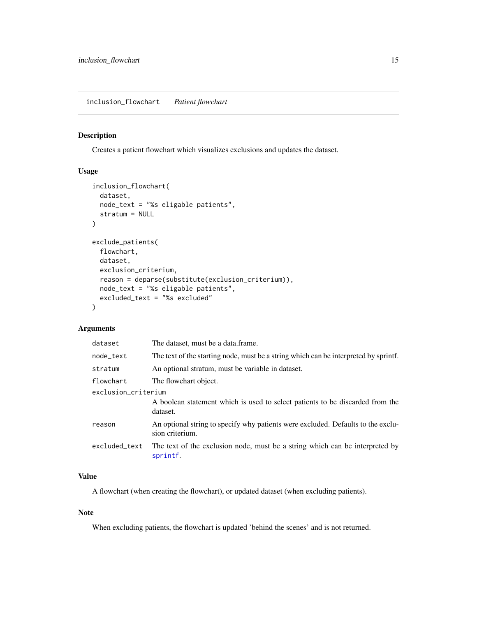<span id="page-14-0"></span>Creates a patient flowchart which visualizes exclusions and updates the dataset.

## Usage

```
inclusion_flowchart(
 dataset,
 node_text = "%s eligable patients",
 stratum = NULL
)
exclude_patients(
  flowchart,
 dataset,
 exclusion_criterium,
  reason = deparse(substitute(exclusion_criterium)),
 node_text = "%s eligable patients",
 excluded_text = "%s excluded"
\mathcal{L}
```
#### Arguments

| dataset             | The dataset, must be a data.frame.                                                                  |
|---------------------|-----------------------------------------------------------------------------------------------------|
| node_text           | The text of the starting node, must be a string which can be interpreted by sprintf.                |
| stratum             | An optional stratum, must be variable in dataset.                                                   |
| flowchart           | The flowchart object.                                                                               |
| exclusion_criterium |                                                                                                     |
|                     | A boolean statement which is used to select patients to be discarded from the<br>dataset.           |
| reason              | An optional string to specify why patients were excluded. Defaults to the exclu-<br>sion criterium. |
| excluded text       | The text of the exclusion node, must be a string which can be interpreted by<br>sprintf.            |

#### Value

A flowchart (when creating the flowchart), or updated dataset (when excluding patients).

#### Note

When excluding patients, the flowchart is updated 'behind the scenes' and is not returned.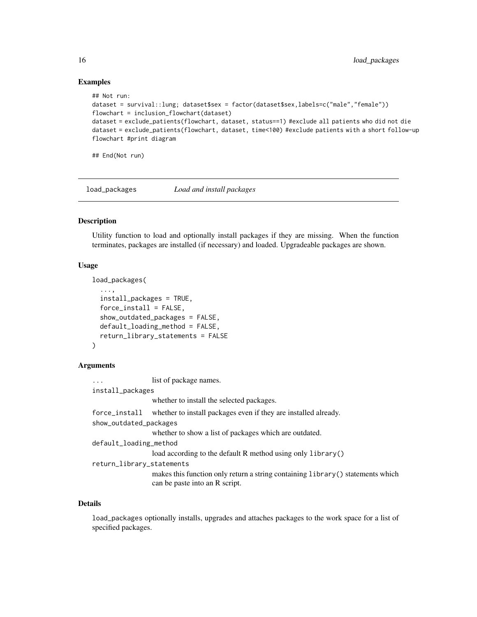#### Examples

```
## Not run:
```

```
dataset = survival::lung; dataset$sex = factor(dataset$sex,labels=c("male","female"))
flowchart = inclusion_flowchart(dataset)
dataset = exclude_patients(flowchart, dataset, status==1) #exclude all patients who did not die
dataset = exclude_patients(flowchart, dataset, time<100) #exclude patients with a short follow-up
flowchart #print diagram
```
## End(Not run)

<span id="page-15-1"></span>load\_packages *Load and install packages*

#### Description

Utility function to load and optionally install packages if they are missing. When the function terminates, packages are installed (if necessary) and loaded. Upgradeable packages are shown.

#### Usage

```
load_packages(
  ...,
  install_packages = TRUE,
  force_install = FALSE,
  show_outdated_packages = FALSE,
  default_loading_method = FALSE,
  return_library_statements = FALSE
)
```
#### Arguments

... list of package names. install\_packages whether to install the selected packages. force\_install whether to install packages even if they are installed already. show\_outdated\_packages whether to show a list of packages which are outdated. default\_loading\_method load according to the default R method using only library() return\_library\_statements makes this function only return a string containing library() statements which can be paste into an R script.

#### Details

load\_packages optionally installs, upgrades and attaches packages to the work space for a list of specified packages.

<span id="page-15-0"></span>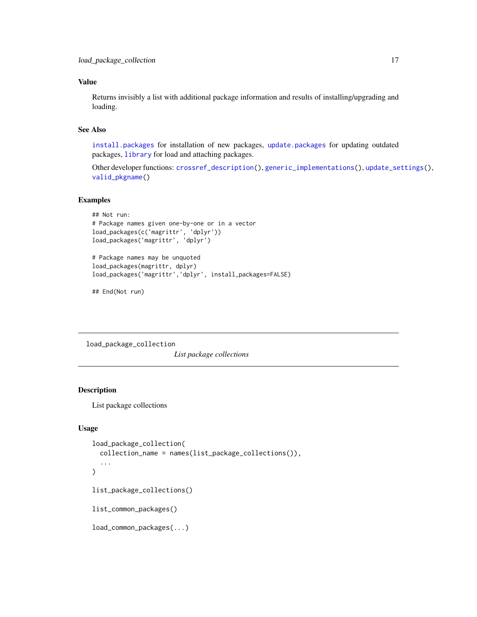#### <span id="page-16-0"></span>Value

Returns invisibly a list with additional package information and results of installing/upgrading and loading.

#### See Also

[install.packages](#page-0-0) for installation of new packages, [update.packages](#page-0-0) for updating outdated packages, [library](#page-0-0) for load and attaching packages.

Other developer functions: [crossref\\_description\(](#page-7-1)), [generic\\_implementations\(](#page-11-1)), [update\\_settings\(](#page-27-1)), [valid\\_pkgname\(](#page-28-1))

#### Examples

```
## Not run:
# Package names given one-by-one or in a vector
load_packages(c('magrittr', 'dplyr'))
load_packages('magrittr', 'dplyr')
# Package names may be unquoted
load_packages(magrittr, dplyr)
```
load\_packages('magrittr','dplyr', install\_packages=FALSE)

## End(Not run)

load\_package\_collection

*List package collections*

## Description

List package collections

## Usage

```
load_package_collection(
  collection_name = names(list_package_collections()),
  ...
\lambdalist_package_collections()
list_common_packages()
load_common_packages(...)
```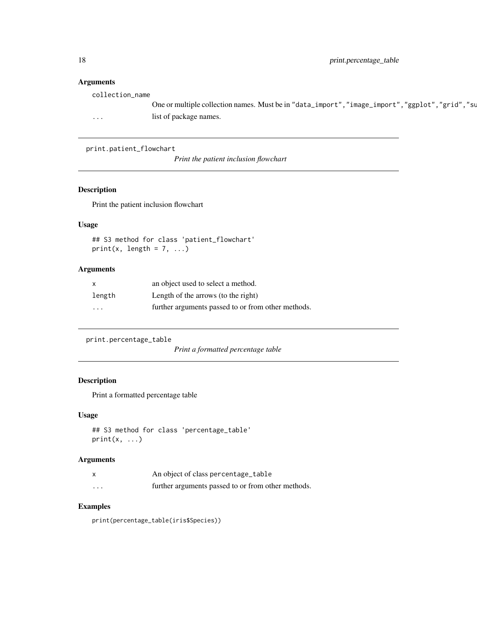## Arguments

| One or multiple collection names. Must be in "data_import", "image_import", "ggplot", "grid", "su<br>list of package names.<br>$\cdots$ | collection_name |  |  |
|-----------------------------------------------------------------------------------------------------------------------------------------|-----------------|--|--|
|                                                                                                                                         |                 |  |  |
|                                                                                                                                         |                 |  |  |

print.patient\_flowchart

*Print the patient inclusion flowchart*

## Description

Print the patient inclusion flowchart

## Usage

## S3 method for class 'patient\_flowchart' print(x, length =  $7, ...$ )

## Arguments

|        | an object used to select a method.                 |
|--------|----------------------------------------------------|
| length | Length of the arrows (to the right)                |
| .      | further arguments passed to or from other methods. |

```
print.percentage_table
```

```
Print a formatted percentage table
```
#### Description

Print a formatted percentage table

## Usage

```
## S3 method for class 'percentage_table'
print(x, \ldots)
```
## Arguments

|                      | An object of class percentage_table                |
|----------------------|----------------------------------------------------|
| $\ddot{\phantom{0}}$ | further arguments passed to or from other methods. |

## Examples

print(percentage\_table(iris\$Species))

<span id="page-17-0"></span>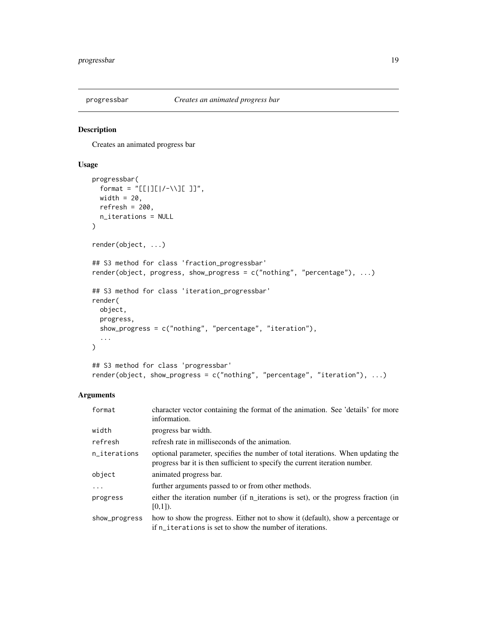<span id="page-18-0"></span>

Creates an animated progress bar

#### Usage

```
progressbar(
  format = "[[|][|/-\\][ ]]",
 width = 20,
 refresh = 200,
 n_iterations = NULL
\lambdarender(object, ...)
## S3 method for class 'fraction_progressbar'
render(object, progress, show_progress = c("nothing", "percentage"), ...)
## S3 method for class 'iteration_progressbar'
render(
 object,
 progress,
 show_progress = c("nothing", "percentage", "iteration"),
  ...
)
## S3 method for class 'progressbar'
```
render(object, show\_progress = c("nothing", "percentage", "iteration"), ...)

#### Arguments

| format        | character vector containing the format of the animation. See 'details' for more<br>information.                                                                |
|---------------|----------------------------------------------------------------------------------------------------------------------------------------------------------------|
| width         | progress bar width.                                                                                                                                            |
| refresh       | refresh rate in milliseconds of the animation.                                                                                                                 |
| n_iterations  | optional parameter, specifies the number of total iterations. When updating the<br>progress bar it is then sufficient to specify the current iteration number. |
| object        | animated progress bar.                                                                                                                                         |
| .             | further arguments passed to or from other methods.                                                                                                             |
| progress      | either the iteration number (if n_iterations is set), or the progress fraction (in<br>$[0,1]$ ).                                                               |
| show_progress | how to show the progress. Either not to show it (default), show a percentage or<br>if n_iterations is set to show the number of iterations.                    |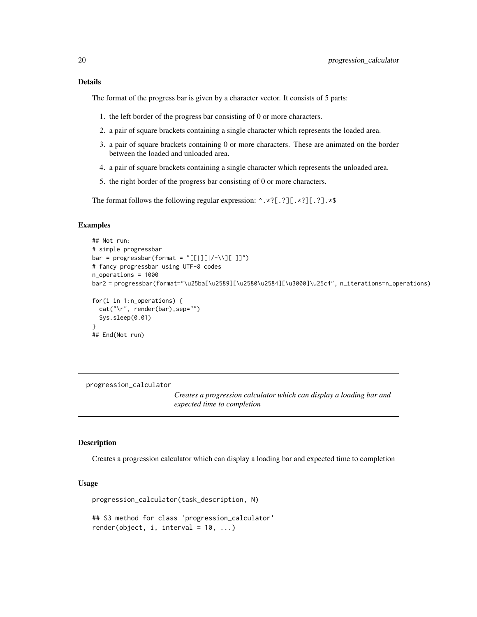<span id="page-19-0"></span>The format of the progress bar is given by a character vector. It consists of 5 parts:

- 1. the left border of the progress bar consisting of 0 or more characters.
- 2. a pair of square brackets containing a single character which represents the loaded area.
- 3. a pair of square brackets containing 0 or more characters. These are animated on the border between the loaded and unloaded area.
- 4. a pair of square brackets containing a single character which represents the unloaded area.
- 5. the right border of the progress bar consisting of 0 or more characters.

The format follows the following regular expression:  $\land$ .\*?[.?][.\*?][.?].\*\$

#### Examples

```
## Not run:
# simple progressbar
bar = progressbar(format = "[[[][]/-\1][[]/])# fancy progressbar using UTF-8 codes
n_operations = 1000
bar2 = progressbar(format="\u25ba[\u2589][\u2580\u2584][\u3000]\u25c4", n_iterations=n_operations)
for(i in 1:n_operations) {
 cat("\r", render(bar),sep="")
 Sys.sleep(0.01)
}
## End(Not run)
```
progression\_calculator

*Creates a progression calculator which can display a loading bar and expected time to completion*

#### Description

Creates a progression calculator which can display a loading bar and expected time to completion

#### Usage

```
progression_calculator(task_description, N)
```
## S3 method for class 'progression\_calculator'  $render(object, i, interval = 10, ...)$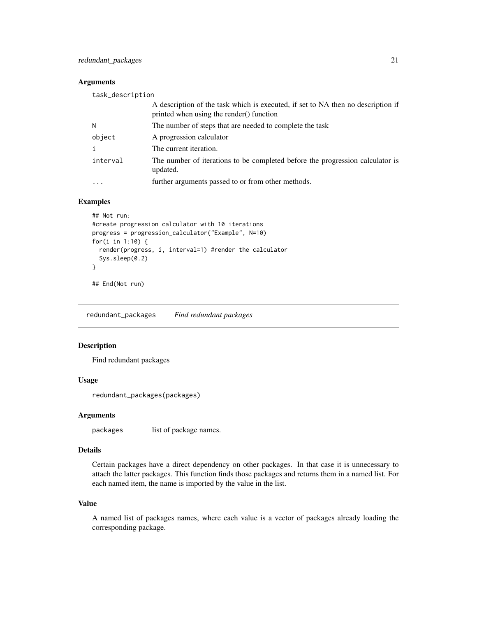#### <span id="page-20-0"></span>Arguments

| task_description |                                                                                                                              |
|------------------|------------------------------------------------------------------------------------------------------------------------------|
|                  | A description of the task which is executed, if set to NA then no description if<br>printed when using the render() function |
| N                | The number of steps that are needed to complete the task                                                                     |
| object           | A progression calculator                                                                                                     |
|                  | The current iteration.                                                                                                       |
| interval         | The number of iterations to be completed before the progression calculator is<br>updated.                                    |
| .                | further arguments passed to or from other methods.                                                                           |
|                  |                                                                                                                              |

## Examples

```
## Not run:
#create progression calculator with 10 iterations
progress = progression_calculator("Example", N=10)
for(i in 1:10) {
  render(progress, i, interval=1) #render the calculator
  Sys.sleep(0.2)
}
```
## End(Not run)

redundant\_packages *Find redundant packages*

#### Description

Find redundant packages

#### Usage

redundant\_packages(packages)

#### Arguments

packages list of package names.

## Details

Certain packages have a direct dependency on other packages. In that case it is unnecessary to attach the latter packages. This function finds those packages and returns them in a named list. For each named item, the name is imported by the value in the list.

#### Value

A named list of packages names, where each value is a vector of packages already loading the corresponding package.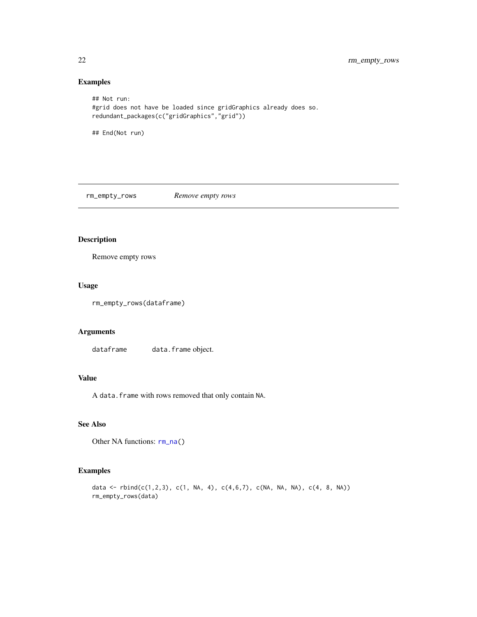## Examples

```
## Not run:
#grid does not have be loaded since gridGraphics already does so.
redundant_packages(c("gridGraphics","grid"))
```
## End(Not run)

<span id="page-21-1"></span>rm\_empty\_rows *Remove empty rows*

## Description

Remove empty rows

#### Usage

```
rm_empty_rows(dataframe)
```
## Arguments

dataframe data.frame object.

## Value

A data.frame with rows removed that only contain NA.

## See Also

Other NA functions:  $rm\_na()$ 

## Examples

```
data <- rbind(c(1,2,3), c(1, NA, 4), c(4,6,7), c(NA, NA, NA), c(4, 8, NA))
rm_empty_rows(data)
```
<span id="page-21-0"></span>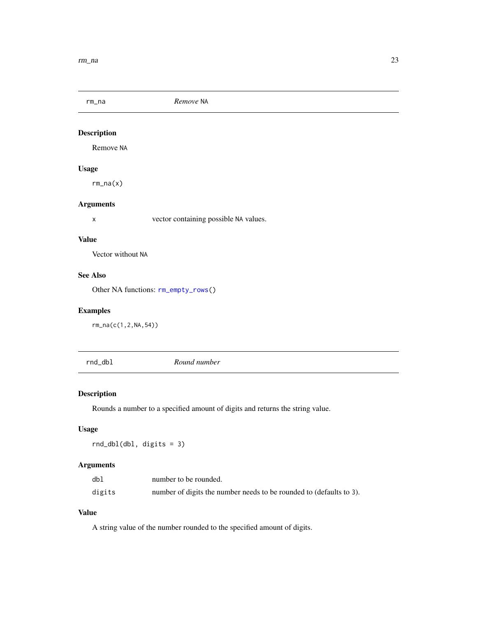<span id="page-22-1"></span><span id="page-22-0"></span>rm\_na *Remove* NA

## Description

Remove NA

## Usage

rm\_na(x)

## Arguments

x vector containing possible NA values.

## Value

Vector without NA

## See Also

Other NA functions: [rm\\_empty\\_rows\(](#page-21-1))

## Examples

rm\_na(c(1,2,NA,54))

rnd\_dbl *Round number*

## Description

Rounds a number to a specified amount of digits and returns the string value.

#### Usage

rnd\_dbl(dbl, digits = 3)

## Arguments

| dbl    | number to be rounded.                                               |
|--------|---------------------------------------------------------------------|
| digits | number of digits the number needs to be rounded to (defaults to 3). |

## Value

A string value of the number rounded to the specified amount of digits.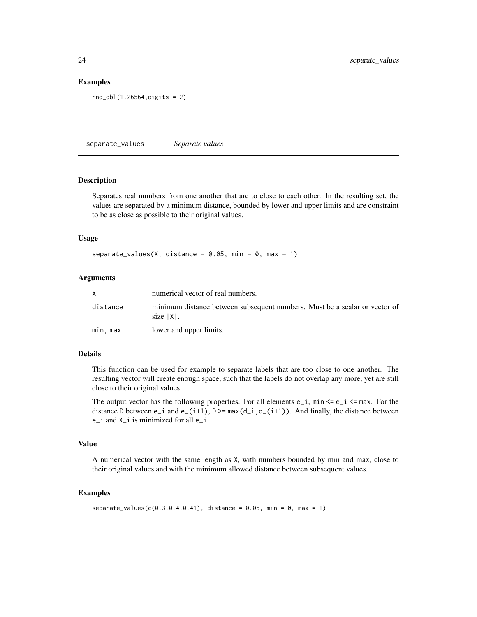#### Examples

```
rnd_dbl(1.26564,digits = 2)
```
separate\_values *Separate values*

#### Description

Separates real numbers from one another that are to close to each other. In the resulting set, the values are separated by a minimum distance, bounded by lower and upper limits and are constraint to be as close as possible to their original values.

#### Usage

```
separate_values(X, distance = 0.05, min = 0, max = 1)
```
#### Arguments

|          | numerical vector of real numbers.                                                          |
|----------|--------------------------------------------------------------------------------------------|
| distance | minimum distance between subsequent numbers. Must be a scalar or vector of<br>size   X   . |
| min. max | lower and upper limits.                                                                    |

#### Details

This function can be used for example to separate labels that are too close to one another. The resulting vector will create enough space, such that the labels do not overlap any more, yet are still close to their original values.

The output vector has the following properties. For all elements  $e_i$ ,  $min \leq e_i$   $\leq max$ . For the distance D between  $e_i$  and  $e_i(i+1)$ ,  $D \geq max(d_i, d_i(i+1))$ . And finally, the distance between e\_i and X\_i is minimized for all e\_i.

#### Value

A numerical vector with the same length as X, with numbers bounded by min and max, close to their original values and with the minimum allowed distance between subsequent values.

#### Examples

```
separate_value(s(0.3, 0.4, 0.41), distance = 0.05, min = 0, max = 1)
```
<span id="page-23-0"></span>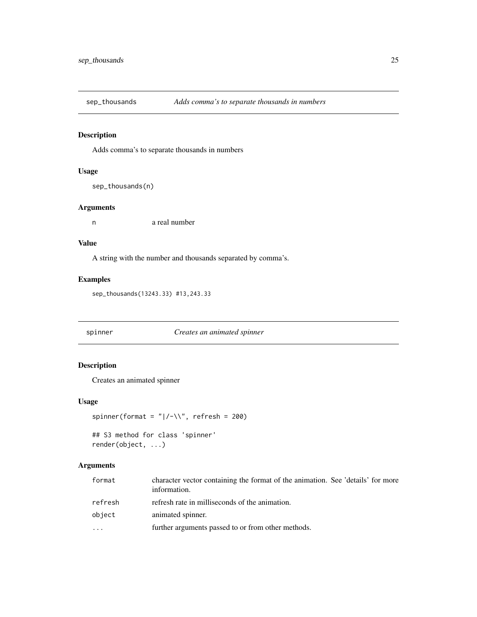<span id="page-24-0"></span>

Adds comma's to separate thousands in numbers

## Usage

sep\_thousands(n)

#### Arguments

n a real number

#### Value

A string with the number and thousands separated by comma's.

## Examples

sep\_thousands(13243.33) #13,243.33

spinner *Creates an animated spinner*

## Description

Creates an animated spinner

## Usage

spinner(format = " $|/-\|$ ", refresh = 200)

## S3 method for class 'spinner' render(object, ...)

## Arguments

| format  | character vector containing the format of the animation. See 'details' for more<br>information. |
|---------|-------------------------------------------------------------------------------------------------|
| refresh | refresh rate in milliseconds of the animation.                                                  |
| object  | animated spinner.                                                                               |
|         | further arguments passed to or from other methods.                                              |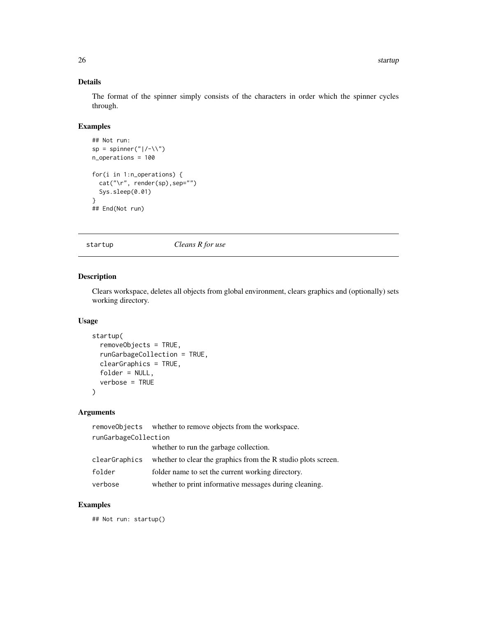## Details

The format of the spinner simply consists of the characters in order which the spinner cycles through.

## Examples

```
## Not run:
sp = spinner("|/-\\\ \n\sqrt{")}n_operations = 100
for(i in 1:n_operations) {
  cat("\r", render(sp),sep="")
  Sys.sleep(0.01)
}
## End(Not run)
```
startup *Cleans R for use*

## Description

Clears workspace, deletes all objects from global environment, clears graphics and (optionally) sets working directory.

## Usage

```
startup(
  removeObjects = TRUE,
  runGarbageCollection = TRUE,
  clearGraphics = TRUE,
  folder = NULL,
  verbose = TRUE
)
```
#### Arguments

|               | removeObjects whether to remove objects from the workspace.   |  |  |
|---------------|---------------------------------------------------------------|--|--|
|               | runGarbageCollection                                          |  |  |
|               | whether to run the garbage collection.                        |  |  |
| clearGraphics | whether to clear the graphics from the R studio plots screen. |  |  |
| folder        | folder name to set the current working directory.             |  |  |
| verbose       | whether to print informative messages during cleaning.        |  |  |

## Examples

## Not run: startup()

<span id="page-25-0"></span>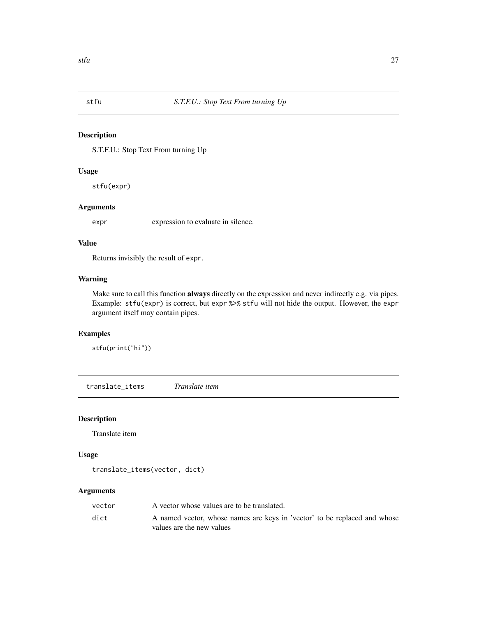<span id="page-26-0"></span>

S.T.F.U.: Stop Text From turning Up

## Usage

stfu(expr)

#### Arguments

expr expression to evaluate in silence.

#### Value

Returns invisibly the result of expr.

## Warning

Make sure to call this function **always** directly on the expression and never indirectly e.g. via pipes. Example: stfu(expr) is correct, but expr %>% stfu will not hide the output. However, the expr argument itself may contain pipes.

## Examples

stfu(print("hi"))

translate\_items *Translate item*

#### Description

Translate item

#### Usage

```
translate_items(vector, dict)
```
#### Arguments

| vector | A vector whose values are to be translated.                               |
|--------|---------------------------------------------------------------------------|
| dict   | A named vector, whose names are keys in 'vector' to be replaced and whose |
|        | values are the new values                                                 |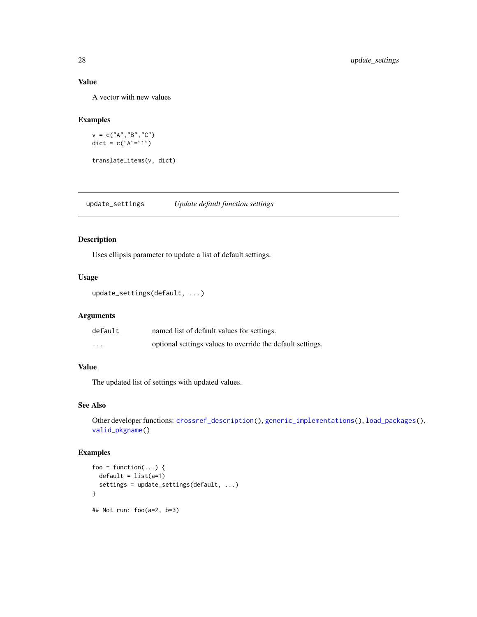## Value

A vector with new values

## Examples

v = c("A","B","C") dict = c("A"="1")

translate\_items(v, dict)

<span id="page-27-1"></span>update\_settings *Update default function settings*

## Description

Uses ellipsis parameter to update a list of default settings.

#### Usage

```
update_settings(default, ...)
```
#### Arguments

| default  | named list of default values for settings.                 |
|----------|------------------------------------------------------------|
| $\cdots$ | optional settings values to override the default settings. |

## Value

The updated list of settings with updated values.

#### See Also

Other developer functions: [crossref\\_description\(](#page-7-1)), [generic\\_implementations\(](#page-11-1)), [load\\_packages\(](#page-15-1)), [valid\\_pkgname\(](#page-28-1))

#### Examples

```
foo = function(...) {
  default = list(a=1)settings = update_settings(default, ...)
}
## Not run: foo(a=2, b=3)
```
<span id="page-27-0"></span>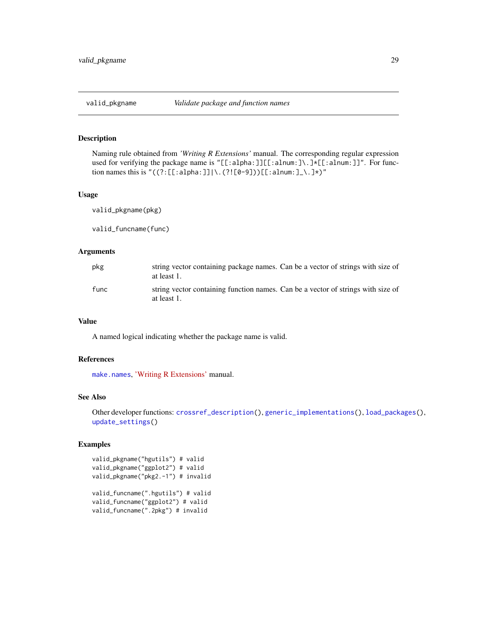<span id="page-28-1"></span><span id="page-28-0"></span>

Naming rule obtained from *'Writing R Extensions'* manual. The corresponding regular expression used for verifying the package name is "[[:alpha:]][[:alnum:]\.]\*[[:alnum:]]". For function names this is " $((?:[[:alpha:]])\.\,(?![0-9]))[[:alnum:]]\.\,]\star)$ "

#### Usage

valid\_pkgname(pkg)

valid\_funcname(func)

#### Arguments

| pkg  | string vector containing package names. Can be a vector of strings with size of<br>at least 1.  |
|------|-------------------------------------------------------------------------------------------------|
| func | string vector containing function names. Can be a vector of strings with size of<br>at least 1. |

## Value

A named logical indicating whether the package name is valid.

#### References

[make.names](#page-0-0), ['Writing R Extensions'](https://cran.r-project.org/doc/manuals/r-devel/R-exts.html#The-DESCRIPTION-file) manual.

#### See Also

Other developer functions: [crossref\\_description\(](#page-7-1)), [generic\\_implementations\(](#page-11-1)), [load\\_packages\(](#page-15-1)), [update\\_settings\(](#page-27-1))

#### Examples

```
valid_pkgname("hgutils") # valid
valid_pkgname("ggplot2") # valid
valid_pkgname("pkg2.-1") # invalid
valid_funcname(".hgutils") # valid
valid_funcname("ggplot2") # valid
valid_funcname(".2pkg") # invalid
```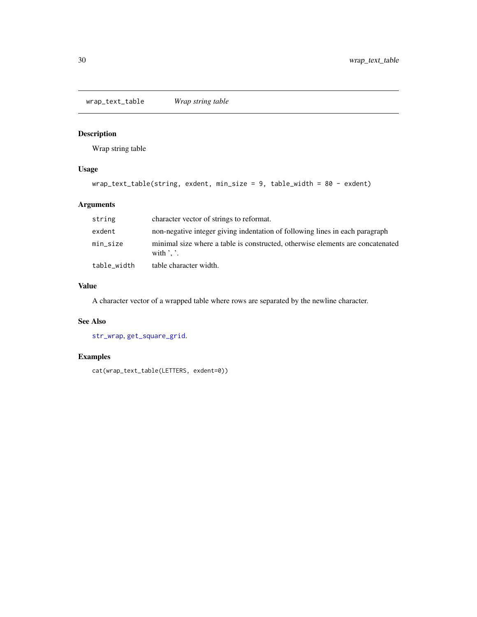<span id="page-29-0"></span>wrap\_text\_table *Wrap string table*

## Description

Wrap string table

## Usage

```
wrap_text_table(string, exdent, min_size = 9, table_width = 80 - exdent)
```
## Arguments

| string      | character vector of strings to reformat.                                                                 |
|-------------|----------------------------------------------------------------------------------------------------------|
| exdent      | non-negative integer giving indentation of following lines in each paragraph                             |
| min_size    | minimal size where a table is constructed, otherwise elements are concatenated<br>with $\cdot$ $\cdot$ . |
| table width | table character width.                                                                                   |

#### Value

A character vector of a wrapped table where rows are separated by the newline character.

## See Also

[str\\_wrap](#page-0-0), [get\\_square\\_grid](#page-13-1).

## Examples

cat(wrap\_text\_table(LETTERS, exdent=0))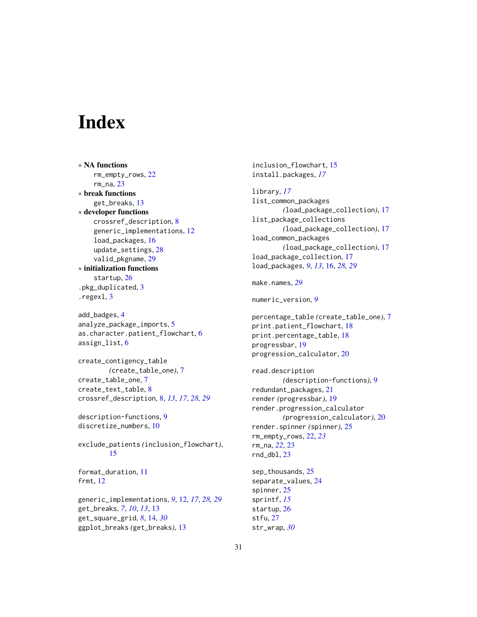# <span id="page-30-0"></span>**Index**

∗ NA functions rm\_empty\_rows, [22](#page-21-0) rm\_na, [23](#page-22-0) ∗ break functions get\_breaks, [13](#page-12-0) ∗ developer functions crossref\_description, [8](#page-7-0) generic\_implementations, [12](#page-11-0) load\_packages, [16](#page-15-0) update\_settings, [28](#page-27-0) valid\_pkgname, [29](#page-28-0) ∗ initialization functions startup, [26](#page-25-0) .pkg\_duplicated, [3](#page-2-0) .regexl, [3](#page-2-0)

add\_badges, [4](#page-3-0) analyze\_package\_imports, [5](#page-4-0) as.character.patient\_flowchart, [6](#page-5-0) assign\_list, [6](#page-5-0)

create\_contigency\_table *(*create\_table\_one*)*, [7](#page-6-0) create\_table\_one, [7](#page-6-0) create\_text\_table, [8](#page-7-0) crossref\_description, [8,](#page-7-0) *[13](#page-12-0)*, *[17](#page-16-0)*, *[28,](#page-27-0) [29](#page-28-0)*

description-functions, [9](#page-8-0) discretize\_numbers, [10](#page-9-0)

exclude\_patients *(*inclusion\_flowchart*)*, [15](#page-14-0)

format\_duration, [11](#page-10-0) frmt, [12](#page-11-0)

generic\_implementations, *[9](#page-8-0)*, [12,](#page-11-0) *[17](#page-16-0)*, *[28,](#page-27-0) [29](#page-28-0)* get\_breaks, *[7](#page-6-0)*, *[10](#page-9-0)*, *[13](#page-12-0)*, [13](#page-12-0) get\_square\_grid, *[8](#page-7-0)*, [14,](#page-13-0) *[30](#page-29-0)* ggplot\_breaks *(*get\_breaks*)*, [13](#page-12-0)

inclusion\_flowchart, [15](#page-14-0) install.packages, *[17](#page-16-0)* library, *[17](#page-16-0)* list\_common\_packages *(*load\_package\_collection*)*, [17](#page-16-0) list\_package\_collections *(*load\_package\_collection*)*, [17](#page-16-0) load\_common\_packages *(*load\_package\_collection*)*, [17](#page-16-0)

load\_package\_collection, [17](#page-16-0) load\_packages, *[9](#page-8-0)*, *[13](#page-12-0)*, [16,](#page-15-0) *[28,](#page-27-0) [29](#page-28-0)*

make.names, *[29](#page-28-0)*

numeric\_version, *[9](#page-8-0)*

percentage\_table *(*create\_table\_one*)*, [7](#page-6-0) print.patient\_flowchart, [18](#page-17-0) print.percentage\_table, [18](#page-17-0) progressbar, [19](#page-18-0) progression\_calculator, [20](#page-19-0)

read.description *(*description-functions*)*, [9](#page-8-0) redundant\_packages, [21](#page-20-0) render *(*progressbar*)*, [19](#page-18-0) render.progression\_calculator *(*progression\_calculator*)*, [20](#page-19-0) render.spinner *(*spinner*)*, [25](#page-24-0) rm\_empty\_rows, [22,](#page-21-0) *[23](#page-22-0)* rm\_na, *[22](#page-21-0)*, [23](#page-22-0)  $rnd\_dbl, 23$  $rnd\_dbl, 23$ 

sep\_thousands, [25](#page-24-0) separate\_values, [24](#page-23-0) spinner, [25](#page-24-0) sprintf, *[15](#page-14-0)* startup, [26](#page-25-0) stfu, [27](#page-26-0) str\_wrap, *[30](#page-29-0)*